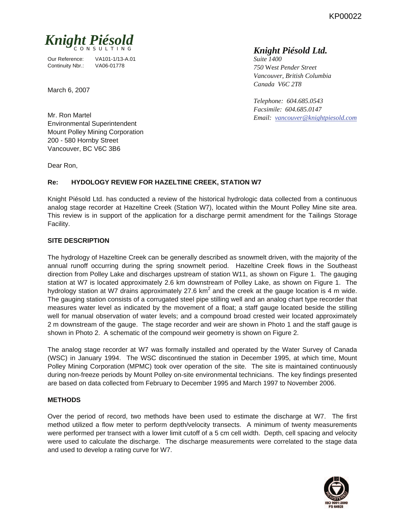KP00022



Our Reference: VA101-1/13-A.01 Continuity Nbr.: VA06-01778

March 6, 2007

Mr. Ron Martel Environmental Superintendent Mount Polley Mining Corporation 200 - 580 Hornby Street Vancouver, BC V6C 3B6

Dear Ron,

## **Re: HYDOLOGY REVIEW FOR HAZELTINE CREEK, STATION W7**

Knight Piésold Ltd. has conducted a review of the historical hydrologic data collected from a continuous analog stage recorder at Hazeltine Creek (Station W7), located within the Mount Polley Mine site area. This review is in support of the application for a discharge permit amendment for the Tailings Storage Facility.

### **SITE DESCRIPTION**

The hydrology of Hazeltine Creek can be generally described as snowmelt driven, with the majority of the annual runoff occurring during the spring snowmelt period. Hazeltine Creek flows in the Southeast direction from Polley Lake and discharges upstream of station W11, as shown on Figure 1. The gauging station at W7 is located approximately 2.6 km downstream of Polley Lake, as shown on Figure 1. The hydrology station at W7 drains approximately 27.6 km<sup>2</sup> and the creek at the gauge location is 4 m wide. The gauging station consists of a corrugated steel pipe stilling well and an analog chart type recorder that measures water level as indicated by the movement of a float; a staff gauge located beside the stilling well for manual observation of water levels; and a compound broad crested weir located approximately 2 m downstream of the gauge. The stage recorder and weir are shown in Photo 1 and the staff gauge is shown in Photo 2. A schematic of the compound weir geometry is shown on Figure 2.

The analog stage recorder at W7 was formally installed and operated by the Water Survey of Canada (WSC) in January 1994. The WSC discontinued the station in December 1995, at which time, Mount Polley Mining Corporation (MPMC) took over operation of the site. The site is maintained continuously during non-freeze periods by Mount Polley on-site environmental technicians. The key findings presented are based on data collected from February to December 1995 and March 1997 to November 2006.

### **METHODS**

Over the period of record, two methods have been used to estimate the discharge at W7. The first method utilized a flow meter to perform depth/velocity transects. A minimum of twenty measurements were performed per transect with a lower limit cutoff of a 5 cm cell width. Depth, cell spacing and velocity were used to calculate the discharge. The discharge measurements were correlated to the stage data and used to develop a rating curve for W7.



# *Knight Piésold Ltd.*

*Suite 1400 750* We*st Pender Street Vancouver, British Columbia Canada V6C 2T8* 

*Telephone: 604.685.0543 Facsimile: 604.685.0147 Email: vancouver@knightpiesold.com*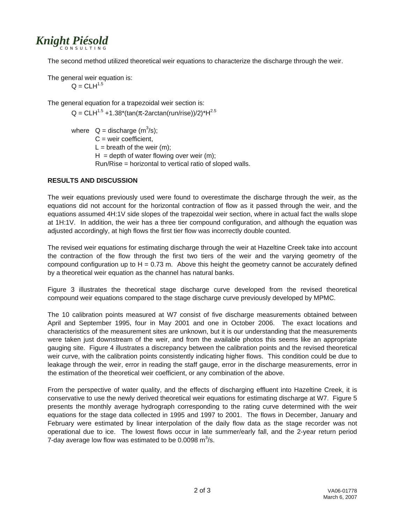

The second method utilized theoretical weir equations to characterize the discharge through the weir.

The general weir equation is:  $Q = CLH^{1.5}$ 

The general equation for a trapezoidal weir section is:

 $Q = CLH^{1.5} + 1.38*(tan(π - 2arctan(run/rise))/2)*H^{2.5}$ 

where  $Q =$  discharge  $(m^3/s)$ ;  $C =$  weir coefficient,  $L = b$  reath of the weir (m):  $H =$  depth of water flowing over weir (m); Run/Rise = horizontal to vertical ratio of sloped walls.

### **RESULTS AND DISCUSSION**

The weir equations previously used were found to overestimate the discharge through the weir, as the equations did not account for the horizontal contraction of flow as it passed through the weir, and the equations assumed 4H:1V side slopes of the trapezoidal weir section, where in actual fact the walls slope at 1H:1V. In addition, the weir has a three tier compound configuration, and although the equation was adjusted accordingly, at high flows the first tier flow was incorrectly double counted.

The revised weir equations for estimating discharge through the weir at Hazeltine Creek take into account the contraction of the flow through the first two tiers of the weir and the varying geometry of the compound configuration up to  $H = 0.73$  m. Above this height the geometry cannot be accurately defined by a theoretical weir equation as the channel has natural banks.

Figure 3 illustrates the theoretical stage discharge curve developed from the revised theoretical compound weir equations compared to the stage discharge curve previously developed by MPMC.

The 10 calibration points measured at W7 consist of five discharge measurements obtained between April and September 1995, four in May 2001 and one in October 2006. The exact locations and characteristics of the measurement sites are unknown, but it is our understanding that the measurements were taken just downstream of the weir, and from the available photos this seems like an appropriate gauging site. Figure 4 illustrates a discrepancy between the calibration points and the revised theoretical weir curve, with the calibration points consistently indicating higher flows. This condition could be due to leakage through the weir, error in reading the staff gauge, error in the discharge measurements, error in the estimation of the theoretical weir coefficient, or any combination of the above.

From the perspective of water quality, and the effects of discharging effluent into Hazeltine Creek, it is conservative to use the newly derived theoretical weir equations for estimating discharge at W7. Figure 5 presents the monthly average hydrograph corresponding to the rating curve determined with the weir equations for the stage data collected in 1995 and 1997 to 2001. The flows in December, January and February were estimated by linear interpolation of the daily flow data as the stage recorder was not operational due to ice. The lowest flows occur in late summer/early fall, and the 2-year return period 7-day average low flow was estimated to be 0.0098  $\text{m}^3\text{/s}$ .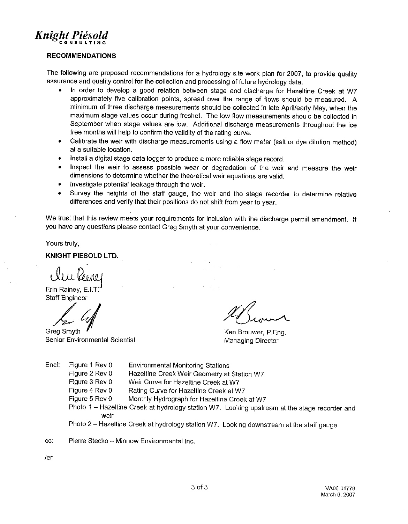

#### **RECOMMENDATIONS**

The following are proposed recommendations for a hydrology site work plan for 2007, to provide quality assurance and quality control for the collection and processing of future hydrology data.

- In order to develop a good relation between stage and discharge for Hazeltine Creek at W7 approximately five calibration points, spread over the range of flows should be measured. A minimum of three discharge measurements should be collected in late April/early May, when the maximum stage values occur during freshet. The low flow measurements should be collected in September when stage values are low. Additional discharge measurements throughout the ice free months will help to confirm the validity of the rating curve.
- Calibrate the weir with discharge measurements using a flow meter (salt or dye dilution method)  $\bullet$ at a suitable location.
- Install a digital stage data logger to produce a more reliable stage record.  $\bullet$
- Inspect the weir to assess possible wear or degradation of the weir and measure the weir dimensions to determine whether the theoretical weir equations are valid.
- Investigate potential leakage through the weir.  $\bullet$
- Survey the heights of the staff gauge, the weir and the stage recorder to determine relative  $\bullet$ differences and verify that their positions do not shift from year to year.

We trust that this review meets your requirements for inclusion with the discharge permit amendment. If you have any questions please contact Greg Smyth at your convenience.

Yours truly,

**KNIGHT PIESOLD LTD.** 

Erin Rainey, E.I.T. **Staff Engineer** 

Greg Smyth Senior Environmental Scientist

Ken Brouwer, P.Eng. Managing Director

- Encl: Figure 1 Rev 0 **Environmental Monitoring Stations** Figure 2 Rev 0 Hazeltine Creek Weir Geometry at Station W7 Figure 3 Rev 0 Weir Curve for Hazeltine Creek at W7 Figure 4 Rev 0 Rating Curve for Hazeltine Creek at W7 Figure 5 Rev 0 Monthly Hydrograph for Hazeltine Creek at W7 Photo 1 - Hazeltine Creek at hydrology station W7. Looking upstream at the stage recorder and weir
	- Photo 2 Hazeltine Creek at hydrology station W7. Looking downstream at the staff gauge.
- cc: Pierre Stecko - Minnow Environmental Inc.

 $/er$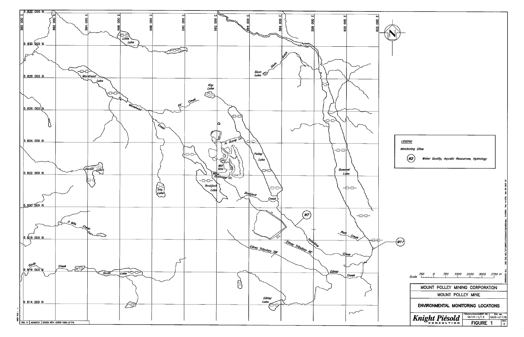

| <i><b>LEGEND</b></i>                                                            |                         |                                             |               |                                                                 |
|---------------------------------------------------------------------------------|-------------------------|---------------------------------------------|---------------|-----------------------------------------------------------------|
|                                                                                 | <b>Monitoring Sites</b> |                                             |               |                                                                 |
|                                                                                 |                         | Water Quality, Aquatic Resources, Hydrology |               |                                                                 |
|                                                                                 |                         |                                             |               |                                                                 |
|                                                                                 |                         |                                             |               |                                                                 |
|                                                                                 |                         |                                             |               | Mar 05 2007 MT                                                  |
|                                                                                 |                         |                                             |               | g                                                               |
|                                                                                 |                         |                                             |               |                                                                 |
|                                                                                 |                         |                                             |               | OO FILE: MR\1\01\00001\13\A\Acad\Figs\BD3.dwg 1=75000 Plot 1=11 |
|                                                                                 |                         |                                             |               |                                                                 |
| W1                                                                              |                         |                                             |               |                                                                 |
|                                                                                 |                         |                                             |               |                                                                 |
|                                                                                 |                         |                                             |               |                                                                 |
|                                                                                 | 750<br>0                | 750<br>1500                                 | 2250<br>3000  | WHOOVER B.C.<br>3750 m                                          |
|                                                                                 | Scale<br>ι.             |                                             | ł             | ı                                                               |
| MOUNT POLLEY MINING CORPORATION<br>MOUNT POLLEY<br><b>MINE</b>                  |                         |                                             |               |                                                                 |
| ENVIRONMENTAL MONITORING LOCATIONS                                              |                         |                                             |               |                                                                 |
| PROJECT/ASSIGNMENT NO.<br>REF NO.<br>Knight Piésold<br>VA101-1/13<br>VA06-01778 |                         |                                             |               |                                                                 |
|                                                                                 |                         |                                             | <b>FIGURE</b> | REV.<br>0                                                       |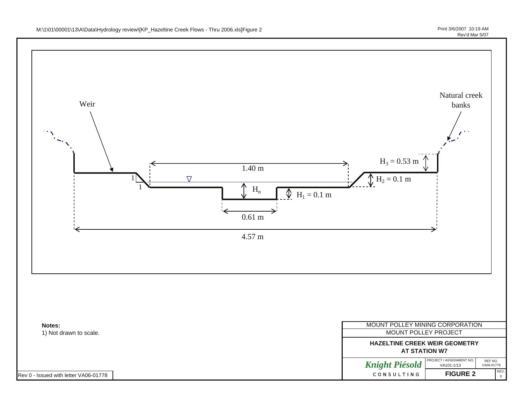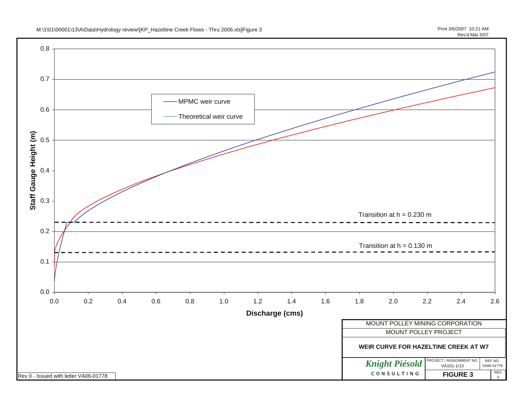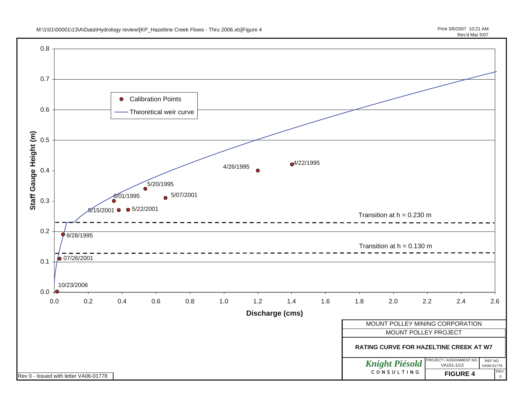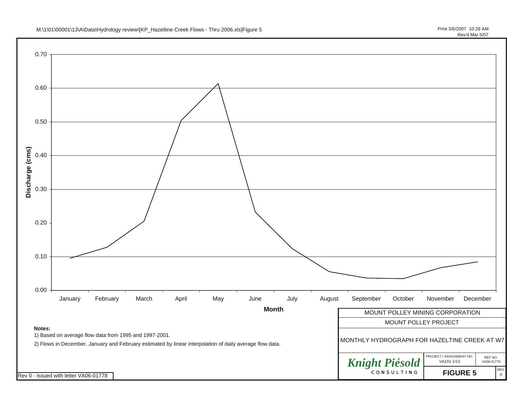![](_page_7_Figure_1.jpeg)

![](_page_7_Figure_2.jpeg)